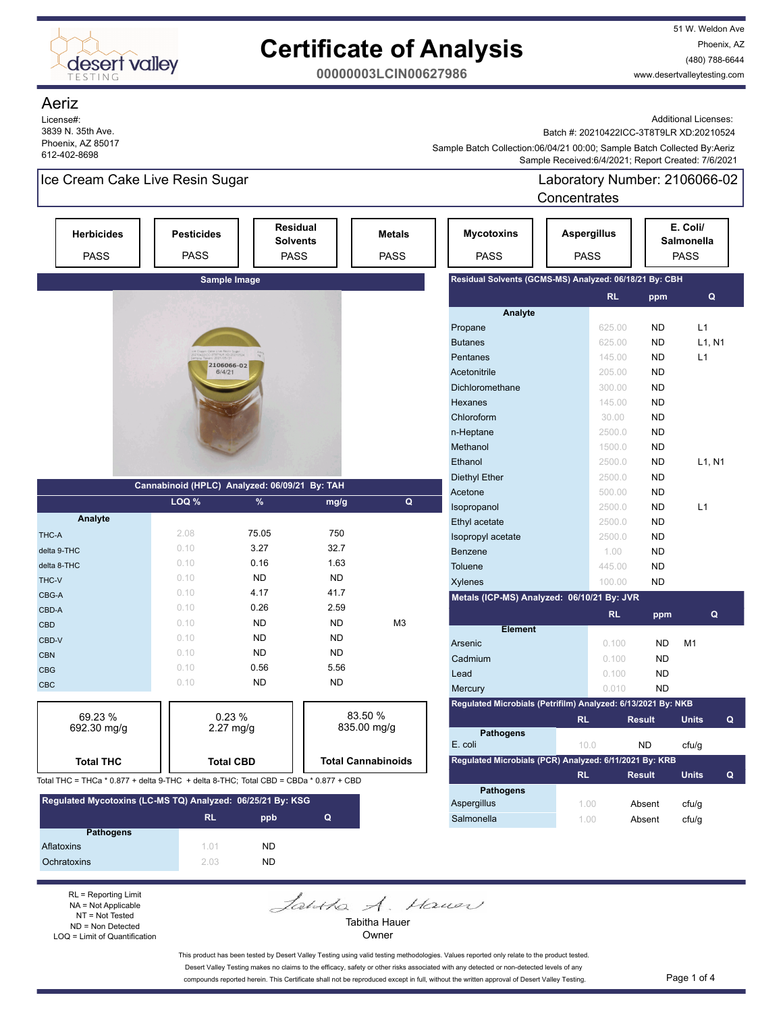

51 W. Weldon Ave Phoenix, AZ (480) 788-6644 www.desertvalleytesting.com

**00000003LCIN00627986**

### Aeriz

License#: 3839 N. 35th Ave. Phoenix, AZ 85017 612-402-8698

Additional Licenses:

Batch #: 20210422ICC-3T8T9LR XD:20210524

 Sample Received:6/4/2021; Report Created: 7/6/2021 Sample Batch Collection:06/04/21 00:00; Sample Batch Collected By:Aeriz

## Ice Cream Cake Live Resin Sugar

Laboratory Number: 2106066-02 **Concentrates** 

| <b>Herbicides</b><br><b>PASS</b>                                                     | <b>Pesticides</b><br><b>PASS</b>              | <b>PASS</b>         | <b>Residual</b><br><b>Solvents</b> | <b>Metals</b><br><b>PASS</b> | <b>Mycotoxins</b><br><b>PASS</b>                             | <b>Aspergillus</b><br><b>PASS</b> |           |               | E. Coli/<br><b>Salmonella</b><br><b>PASS</b> |  |
|--------------------------------------------------------------------------------------|-----------------------------------------------|---------------------|------------------------------------|------------------------------|--------------------------------------------------------------|-----------------------------------|-----------|---------------|----------------------------------------------|--|
|                                                                                      |                                               | Sample Image        |                                    |                              | Residual Solvents (GCMS-MS) Analyzed: 06/18/21 By: CBH       |                                   |           |               |                                              |  |
|                                                                                      |                                               |                     |                                    |                              |                                                              |                                   | <b>RL</b> | ppm           | Q                                            |  |
|                                                                                      |                                               |                     |                                    |                              | Analyte                                                      |                                   |           |               |                                              |  |
|                                                                                      |                                               |                     |                                    |                              | Propane                                                      |                                   | 625.00    | <b>ND</b>     | L1                                           |  |
|                                                                                      |                                               |                     |                                    |                              | <b>Butanes</b>                                               |                                   | 625.00    | <b>ND</b>     | L1, N1                                       |  |
|                                                                                      | 2106066-02                                    |                     |                                    |                              | Pentanes                                                     |                                   | 145.00    | <b>ND</b>     | L1                                           |  |
|                                                                                      | 6/4/21                                        |                     |                                    |                              | Acetonitrile                                                 |                                   | 205.00    | <b>ND</b>     |                                              |  |
|                                                                                      |                                               |                     |                                    |                              | Dichloromethane                                              |                                   | 300.00    | <b>ND</b>     |                                              |  |
|                                                                                      |                                               |                     |                                    |                              | Hexanes                                                      |                                   | 145.00    | <b>ND</b>     |                                              |  |
|                                                                                      |                                               |                     |                                    |                              | Chloroform                                                   |                                   | 30.00     | <b>ND</b>     |                                              |  |
|                                                                                      |                                               |                     |                                    |                              | n-Heptane                                                    |                                   | 2500.0    | <b>ND</b>     |                                              |  |
|                                                                                      |                                               |                     |                                    |                              | Methanol                                                     |                                   | 1500.0    | <b>ND</b>     |                                              |  |
|                                                                                      |                                               |                     |                                    |                              | Ethanol                                                      |                                   | 2500.0    | <b>ND</b>     | L1, N1                                       |  |
|                                                                                      |                                               |                     |                                    |                              | Diethyl Ether                                                |                                   | 2500.0    | <b>ND</b>     |                                              |  |
|                                                                                      | Cannabinoid (HPLC) Analyzed: 06/09/21 By: TAH |                     |                                    |                              | Acetone                                                      |                                   | 500.00    | <b>ND</b>     |                                              |  |
|                                                                                      | LOQ %                                         | %                   | mg/g                               | $\mathbf Q$                  | Isopropanol                                                  |                                   | 2500.0    | <b>ND</b>     | L1                                           |  |
| Analyte                                                                              |                                               |                     |                                    |                              | Ethyl acetate                                                |                                   | 2500.0    | <b>ND</b>     |                                              |  |
| THC-A                                                                                | 2.08                                          | 75.05               | 750                                |                              | Isopropyl acetate                                            |                                   | 2500.0    | <b>ND</b>     |                                              |  |
| delta 9-THC                                                                          | 0.10                                          | 3.27                | 32.7                               |                              | Benzene                                                      |                                   | 1.00      | <b>ND</b>     |                                              |  |
| delta 8-THC                                                                          | 0.10                                          | 0.16                | 1.63                               |                              | Toluene                                                      |                                   | 445.00    | <b>ND</b>     |                                              |  |
| THC-V                                                                                | 0.10                                          | <b>ND</b>           | <b>ND</b>                          |                              | Xylenes                                                      |                                   | 100.00    | <b>ND</b>     |                                              |  |
| CBG-A                                                                                | 0.10                                          | 4.17                | 41.7                               |                              | Metals (ICP-MS) Analyzed: 06/10/21 By: JVR                   |                                   |           |               |                                              |  |
| CBD-A                                                                                | 0.10                                          | 0.26                | 2.59                               |                              |                                                              |                                   | <b>RL</b> | ppm           | Q                                            |  |
| <b>CBD</b>                                                                           | 0.10                                          | <b>ND</b>           | <b>ND</b>                          | M <sub>3</sub>               | <b>Element</b>                                               |                                   |           |               |                                              |  |
| CBD-V                                                                                | 0.10                                          | <b>ND</b>           | <b>ND</b>                          |                              | Arsenic                                                      |                                   | 0.100     | <b>ND</b>     | M1                                           |  |
| <b>CBN</b>                                                                           | 0.10                                          | <b>ND</b>           | <b>ND</b>                          |                              | Cadmium                                                      |                                   | 0.100     | <b>ND</b>     |                                              |  |
| <b>CBG</b>                                                                           | 0.10                                          | 0.56                | 5.56                               |                              | Lead                                                         |                                   | 0.100     | <b>ND</b>     |                                              |  |
| <b>CBC</b>                                                                           | 0.10                                          | <b>ND</b>           | <b>ND</b>                          |                              | Mercury                                                      |                                   | 0.010     | <b>ND</b>     |                                              |  |
|                                                                                      |                                               |                     |                                    |                              | Regulated Microbials (Petrifilm) Analyzed: 6/13/2021 By: NKB |                                   |           |               |                                              |  |
| 69.23 %                                                                              |                                               | 0.23%               |                                    | 83.50 %                      |                                                              | <b>RL</b>                         |           | <b>Result</b> | <b>Units</b><br>Q                            |  |
| 692.30 mg/g                                                                          |                                               | $2.27 \text{ mg/g}$ |                                    | 835.00 mg/g                  | <b>Pathogens</b>                                             |                                   |           |               |                                              |  |
|                                                                                      |                                               |                     |                                    |                              | E. coli                                                      | 10.0                              |           | <b>ND</b>     | cfu/g                                        |  |
| <b>Total THC</b>                                                                     |                                               | <b>Total CBD</b>    |                                    | <b>Total Cannabinoids</b>    | Regulated Microbials (PCR) Analyzed: 6/11/2021 By: KRB       |                                   |           |               |                                              |  |
| Total THC = THCa * 0.877 + delta 9-THC + delta 8-THC; Total CBD = CBDa * 0.877 + CBD |                                               |                     |                                    |                              |                                                              | <b>RL</b>                         |           | <b>Result</b> | <b>Units</b><br>Q                            |  |
|                                                                                      |                                               |                     |                                    |                              | <b>Pathogens</b>                                             |                                   |           |               |                                              |  |
| Regulated Mycotoxins (LC-MS TQ) Analyzed: 06/25/21 By: KSG                           |                                               |                     |                                    |                              | Aspergillus                                                  | 1.00                              |           | Absent        | cfu/g                                        |  |
|                                                                                      | <b>RL</b>                                     | ppb                 | Q                                  |                              | Salmonella                                                   | 1.00                              |           | Absent        | cfu/g                                        |  |
| <b>Pathogens</b>                                                                     |                                               |                     |                                    |                              |                                                              |                                   |           |               |                                              |  |
| Aflatoxins                                                                           | 1.01                                          | <b>ND</b>           |                                    |                              |                                                              |                                   |           |               |                                              |  |
| Ochratoxins                                                                          | 2.03                                          | <b>ND</b>           |                                    |                              |                                                              |                                   |           |               |                                              |  |

RL = Reporting Limit NA = Not Applicable NT = Not Tested ND = Non Detected LOQ = Limit of Quantification

Jahtha A. Hauer Tabitha Hauer

Owner

This product has been tested by Desert Valley Testing using valid testing methodologies. Values reported only relate to the product tested. Desert Valley Testing makes no claims to the efficacy, safety or other risks associated with any detected or non-detected levels of any compounds reported herein. This Certificate shall not be reproduced except in full, without the written approval of Desert Valley Testing. Page 1 of 4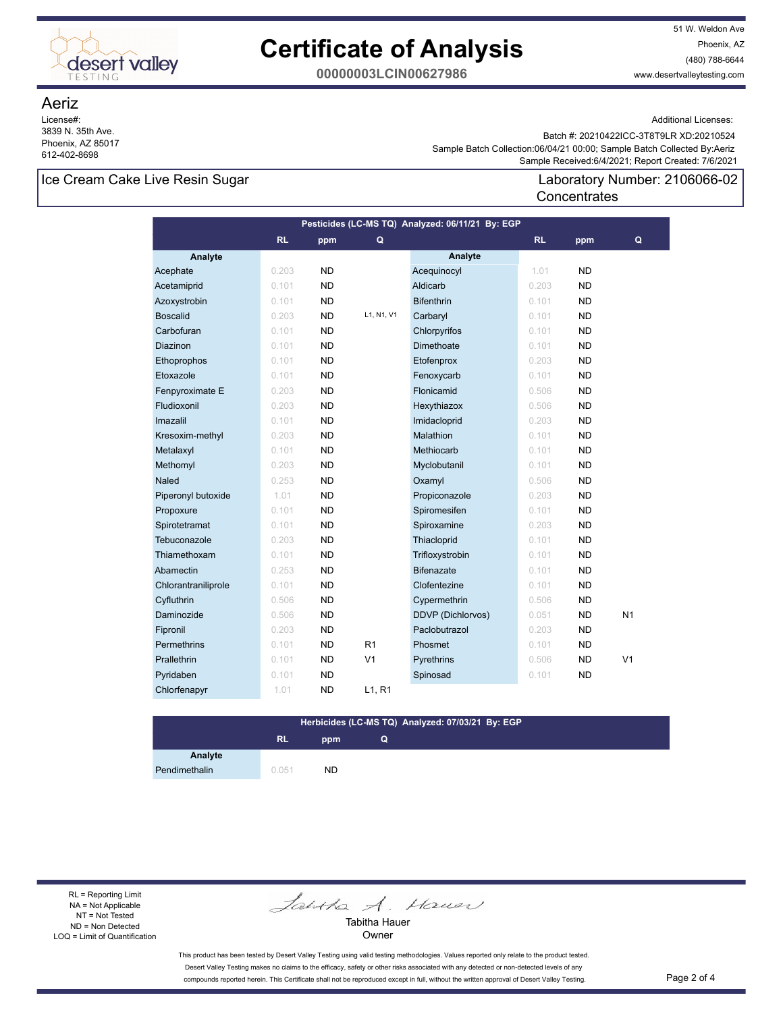

51 W. Weldon Ave Phoenix, AZ (480) 788-6644 www.desertvalleytesting.com

**00000003LCIN00627986**

### Aeriz

License#: 3839 N. 35th Ave. Phoenix, AZ 85017 612-402-8698

Additional Licenses:

 Sample Received:6/4/2021; Report Created: 7/6/2021 Sample Batch Collection:06/04/21 00:00; Sample Batch Collected By:Aeriz Batch #: 20210422ICC-3T8T9LR XD:20210524

**Concentrates** 

Laboratory Number: 2106066-02

## Ice Cream Cake Live Resin Sugar

| Pesticides (LC-MS TQ) Analyzed: 06/11/21 By: EGP |       |           |                |                          |           |           |                |
|--------------------------------------------------|-------|-----------|----------------|--------------------------|-----------|-----------|----------------|
|                                                  | RL    | ppm       | Q              |                          | <b>RL</b> | ppm       | Q              |
| Analyte                                          |       |           |                | Analyte                  |           |           |                |
| Acephate                                         | 0.203 | <b>ND</b> |                | Acequinocyl              | 1.01      | <b>ND</b> |                |
| Acetamiprid                                      | 0.101 | <b>ND</b> |                | Aldicarb                 | 0.203     | <b>ND</b> |                |
| Azoxystrobin                                     | 0.101 | <b>ND</b> |                | <b>Bifenthrin</b>        | 0.101     | <b>ND</b> |                |
| <b>Boscalid</b>                                  | 0.203 | <b>ND</b> | L1. N1. V1     | Carbaryl                 | 0.101     | <b>ND</b> |                |
| Carbofuran                                       | 0.101 | <b>ND</b> |                | Chlorpyrifos             | 0.101     | <b>ND</b> |                |
| <b>Diazinon</b>                                  | 0.101 | <b>ND</b> |                | <b>Dimethoate</b>        | 0.101     | <b>ND</b> |                |
| Ethoprophos                                      | 0.101 | <b>ND</b> |                | Etofenprox               | 0.203     | <b>ND</b> |                |
| Etoxazole                                        | 0.101 | <b>ND</b> |                | Fenoxycarb               | 0.101     | <b>ND</b> |                |
| Fenpyroximate E                                  | 0.203 | <b>ND</b> |                | Flonicamid               | 0.506     | <b>ND</b> |                |
| Fludioxonil                                      | 0.203 | <b>ND</b> |                | Hexythiazox              | 0.506     | <b>ND</b> |                |
| Imazalil                                         | 0.101 | <b>ND</b> |                | Imidacloprid             | 0.203     | <b>ND</b> |                |
| Kresoxim-methyl                                  | 0.203 | <b>ND</b> |                | Malathion                | 0.101     | <b>ND</b> |                |
| Metalaxyl                                        | 0.101 | <b>ND</b> |                | Methiocarb               | 0.101     | <b>ND</b> |                |
| Methomyl                                         | 0.203 | <b>ND</b> |                | Myclobutanil             | 0.101     | <b>ND</b> |                |
| Naled                                            | 0.253 | <b>ND</b> |                | Oxamyl                   | 0.506     | <b>ND</b> |                |
| Piperonyl butoxide                               | 1.01  | <b>ND</b> |                | Propiconazole            | 0.203     | <b>ND</b> |                |
| Propoxure                                        | 0.101 | <b>ND</b> |                | Spiromesifen             | 0.101     | <b>ND</b> |                |
| Spirotetramat                                    | 0.101 | <b>ND</b> |                | Spiroxamine              | 0.203     | <b>ND</b> |                |
| Tebuconazole                                     | 0.203 | <b>ND</b> |                | Thiacloprid              | 0.101     | <b>ND</b> |                |
| Thiamethoxam                                     | 0.101 | <b>ND</b> |                | Trifloxystrobin          | 0.101     | <b>ND</b> |                |
| Abamectin                                        | 0.253 | <b>ND</b> |                | <b>Bifenazate</b>        | 0.101     | <b>ND</b> |                |
| Chlorantraniliprole                              | 0.101 | <b>ND</b> |                | Clofentezine             | 0.101     | <b>ND</b> |                |
| Cyfluthrin                                       | 0.506 | <b>ND</b> |                | Cypermethrin             | 0.506     | <b>ND</b> |                |
| Daminozide                                       | 0.506 | <b>ND</b> |                | <b>DDVP</b> (Dichlorvos) | 0.051     | <b>ND</b> | N <sub>1</sub> |
| Fipronil                                         | 0.203 | <b>ND</b> |                | Paclobutrazol            | 0.203     | <b>ND</b> |                |
| <b>Permethrins</b>                               | 0.101 | <b>ND</b> | R <sub>1</sub> | Phosmet                  | 0.101     | <b>ND</b> |                |
| Prallethrin                                      | 0.101 | <b>ND</b> | V <sub>1</sub> | Pyrethrins               | 0.506     | <b>ND</b> | V <sub>1</sub> |
| Pyridaben                                        | 0.101 | <b>ND</b> |                | Spinosad                 | 0.101     | <b>ND</b> |                |
| Chlorfenapyr                                     | 1.01  | <b>ND</b> | L1, R1         |                          |           |           |                |

#### **Herbicides (LC-MS TQ) Analyzed: 07/03/21 By: EGP Q**

# **RL ppm**

**Analyte** Pendimethalin 0.051 ND

RL = Reporting Limit NA = Not Applicable NT = Not Tested ND = Non Detected LOQ = Limit of Quantification

Jantha A. Hauer

Tabitha Hauer Owner

This product has been tested by Desert Valley Testing using valid testing methodologies. Values reported only relate to the product tested. Desert Valley Testing makes no claims to the efficacy, safety or other risks associated with any detected or non-detected levels of any compounds reported herein. This Certificate shall not be reproduced except in full, without the written approval of Desert Valley Testing. Page 2 of 4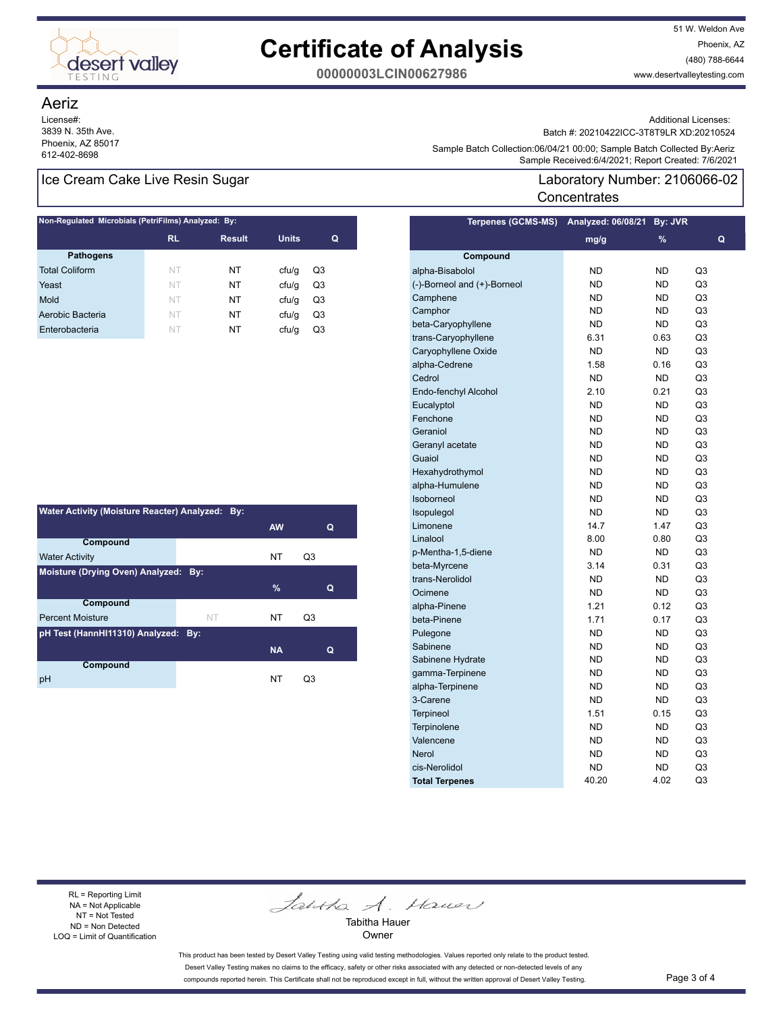

51 W. Weldon Ave Phoenix, AZ (480) 788-6644 www.desertvalleytesting.com

**00000003LCIN00627986**

### Aeriz

License#: 3839 N. 35th Ave. Phoenix, AZ 85017

### Ice Cream Cake Live Resin Sugar

| Non-Regulated Microbials (PetriFilms) Analyzed: By: |           |               |              |    |  |  |
|-----------------------------------------------------|-----------|---------------|--------------|----|--|--|
|                                                     | <b>RL</b> | <b>Result</b> | <b>Units</b> | Q  |  |  |
| <b>Pathogens</b>                                    |           |               |              |    |  |  |
| <b>Total Coliform</b>                               | NT        | NT            | cfu/q        | Q3 |  |  |
| Yeast                                               | NT        | NT            | cfu/q        | Q3 |  |  |
| Mold                                                | NT        | NT            | ctu/g        | Q3 |  |  |
| Aerobic Bacteria                                    | NT        | NT            | cfu/q        | Q3 |  |  |
| Enterobacteria                                      | NT        | NT            | cfu/q        | Q3 |  |  |

| Water Activity (Moisture Reacter) Analyzed: By: |                                      |           |    |  |  |  |  |
|-------------------------------------------------|--------------------------------------|-----------|----|--|--|--|--|
|                                                 |                                      | <b>AW</b> | Q  |  |  |  |  |
| Compound                                        |                                      |           |    |  |  |  |  |
| <b>Water Activity</b>                           |                                      | <b>NT</b> | Q3 |  |  |  |  |
|                                                 | Moisture (Drying Oven) Analyzed: By: |           |    |  |  |  |  |
|                                                 |                                      | $\%$      | Q  |  |  |  |  |
| Compound                                        |                                      |           |    |  |  |  |  |
| <b>Percent Moisture</b>                         | <b>NT</b>                            | NT        | Q3 |  |  |  |  |
| pH Test (HannHI11310) Analyzed: By:             |                                      |           |    |  |  |  |  |
|                                                 |                                      | <b>NA</b> | Q  |  |  |  |  |
| Compound                                        |                                      |           |    |  |  |  |  |
| рH                                              |                                      | NT        | O3 |  |  |  |  |

Additional Licenses:

Batch #: 20210422ICC-3T8T9LR XD:20210524

Sample Batch Collection.co/o4/21 00.00, Sample Batch 2009<br>Sample Received:6/4/2021; Report Created: 7/6/2021 Sample Batch Collection:06/04/21 00:00; Sample Batch Collected By:Aeriz

### Laboratory Number: 2106066-02 **Concentrates**

| <b>Terpenes (GCMS-MS)</b>   | Analyzed: 06/08/21 | By: JVR   |    |
|-----------------------------|--------------------|-----------|----|
|                             | mg/g               | %         | Q  |
| Compound                    |                    |           |    |
| alpha-Bisabolol             | ND                 | ND        | Q3 |
| (-)-Borneol and (+)-Borneol | <b>ND</b>          | ND        | Q3 |
| Camphene                    | <b>ND</b>          | ND        | Q3 |
| Camphor                     | <b>ND</b>          | <b>ND</b> | Q3 |
| beta-Caryophyllene          | <b>ND</b>          | <b>ND</b> | Q3 |
| trans-Caryophyllene         | 6.31               | 0.63      | Q3 |
| Caryophyllene Oxide         | <b>ND</b>          | ND        | Q3 |
| alpha-Cedrene               | 1.58               | 0.16      | Q3 |
| Cedrol                      | <b>ND</b>          | <b>ND</b> | Q3 |
| Endo-fenchyl Alcohol        | 2.10               | 0.21      | Q3 |
| Eucalyptol                  | <b>ND</b>          | <b>ND</b> | Q3 |
| Fenchone                    | <b>ND</b>          | <b>ND</b> | Q3 |
| Geraniol                    | <b>ND</b>          | <b>ND</b> | Q3 |
| Geranyl acetate             | <b>ND</b>          | ND        | Q3 |
| Guaiol                      | <b>ND</b>          | ND        | Q3 |
| Hexahydrothymol             | <b>ND</b>          | <b>ND</b> | Q3 |
| alpha-Humulene              | <b>ND</b>          | <b>ND</b> | Q3 |
| Isoborneol                  | <b>ND</b>          | <b>ND</b> | Q3 |
| Isopulegol                  | <b>ND</b>          | <b>ND</b> | Q3 |
| Limonene                    | 14.7               | 1.47      | Q3 |
| Linalool                    | 8.00               | 0.80      | Q3 |
| p-Mentha-1,5-diene          | <b>ND</b>          | <b>ND</b> | Q3 |
| beta-Myrcene                | 3.14               | 0.31      | Q3 |
| trans-Nerolidol             | <b>ND</b>          | <b>ND</b> | Q3 |
| Ocimene                     | <b>ND</b>          | <b>ND</b> | Q3 |
| alpha-Pinene                | 1.21               | 0.12      | Q3 |
| beta-Pinene                 | 1.71               | 0.17      | Q3 |
| Pulegone                    | <b>ND</b>          | <b>ND</b> | Q3 |
| Sabinene                    | <b>ND</b>          | <b>ND</b> | Q3 |
| Sabinene Hydrate            | <b>ND</b>          | <b>ND</b> | Q3 |
| gamma-Terpinene             | <b>ND</b>          | <b>ND</b> | Q3 |
| alpha-Terpinene             | <b>ND</b>          | <b>ND</b> | Q3 |
| 3-Carene                    | <b>ND</b>          | <b>ND</b> | Q3 |
| <b>Terpineol</b>            | 1.51               | 0.15      | Q3 |
| Terpinolene                 | <b>ND</b>          | <b>ND</b> | Q3 |
| Valencene                   | <b>ND</b>          | <b>ND</b> | Q3 |
| <b>Nerol</b>                | <b>ND</b>          | <b>ND</b> | Q3 |
| cis-Nerolidol               | <b>ND</b>          | <b>ND</b> | Q3 |
| <b>Total Terpenes</b>       | 40.20              | 4.02      | Q3 |

RL = Reporting Limit NA = Not Applicable NT = Not Tested ND = Non Detected LOQ = Limit of Quantification

Jantha A. Hauer

Tabitha Hauer Owner

This product has been tested by Desert Valley Testing using valid testing methodologies. Values reported only relate to the product tested. Desert Valley Testing makes no claims to the efficacy, safety or other risks associated with any detected or non-detected levels of any compounds reported herein. This Certificate shall not be reproduced except in full, without the written approval of Desert Valley Testing. Page 3 of 4